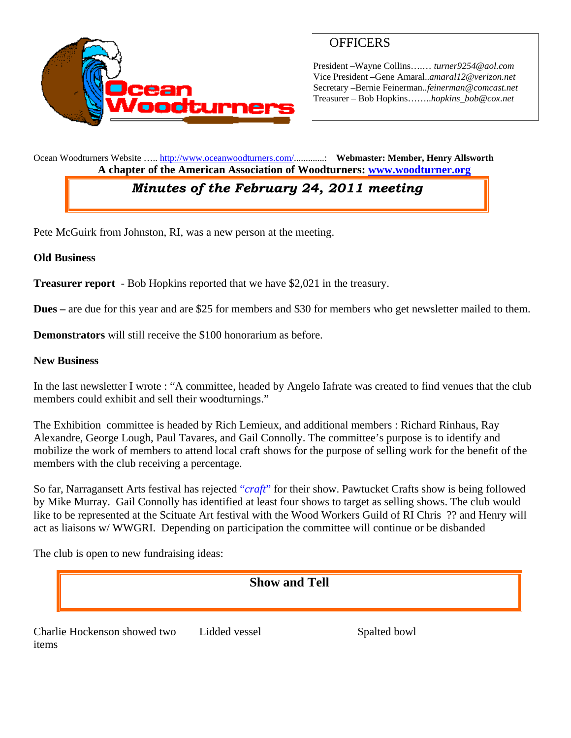

### **OFFICERS**

President –Wayne Collins….… *turner9254@aol.com*  Vice President –Gene Amaral..*amaral12@verizon.net* Secretary –Bernie Feinerman*..feinerman@comcast.net*  Treasurer – Bob Hopkins……..*hopkins\_bob@cox.net*

Ocean Woodturners Website ….. http://www.oceanwoodturners.com/.............: **Webmaster: Member, Henry Allsworth A chapter of the American Association of Woodturners: www.woodturner.org** 

# *Minutes of the February 24, 2011 meeting*

Pete McGuirk from Johnston, RI, was a new person at the meeting.

#### **Old Business**

**Treasurer report** - Bob Hopkins reported that we have \$2,021 in the treasury.

**Dues –** are due for this year and are \$25 for members and \$30 for members who get newsletter mailed to them.

**Demonstrators** will still receive the \$100 honorarium as before.

#### **New Business**

In the last newsletter I wrote : "A committee, headed by Angelo Iafrate was created to find venues that the club members could exhibit and sell their woodturnings."

The Exhibition committee is headed by Rich Lemieux, and additional members : Richard Rinhaus, Ray Alexandre, George Lough, Paul Tavares, and Gail Connolly. The committee's purpose is to identify and mobilize the work of members to attend local craft shows for the purpose of selling work for the benefit of the members with the club receiving a percentage.

So far, Narragansett Arts festival has rejected "*craft*" for their show. Pawtucket Crafts show is being followed by Mike Murray. Gail Connolly has identified at least four shows to target as selling shows. The club would like to be represented at the Scituate Art festival with the Wood Workers Guild of RI Chris ?? and Henry will act as liaisons w/ WWGRI. Depending on participation the committee will continue or be disbanded

The club is open to new fundraising ideas:

### **Show and Tell**

Charlie Hockenson showed two items

Lidded vessel Spalted bowl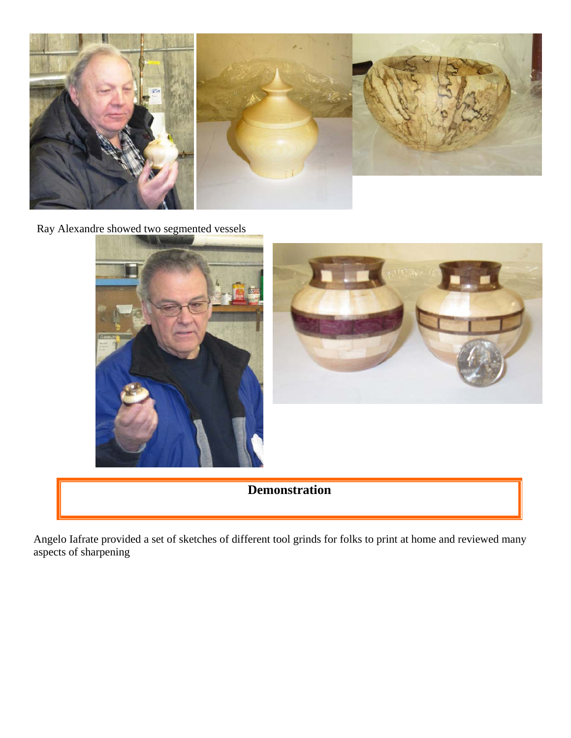

Ray Alexandre showed two segmented vessels





## **Demonstration**

Angelo Iafrate provided a set of sketches of different tool grinds for folks to print at home and reviewed many aspects of sharpening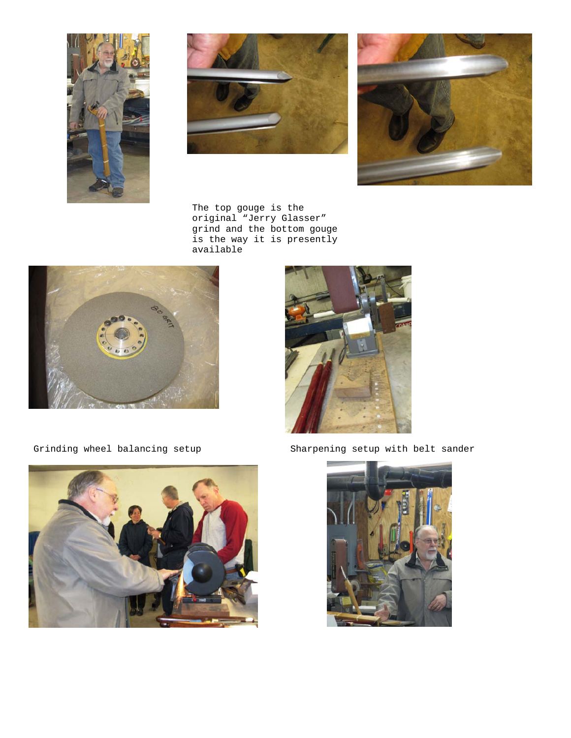





 The top gouge is the original "Jerry Glasser" grind and the bottom gouge is the way it is presently available





Grinding wheel balancing setup Sharpening setup with belt sander